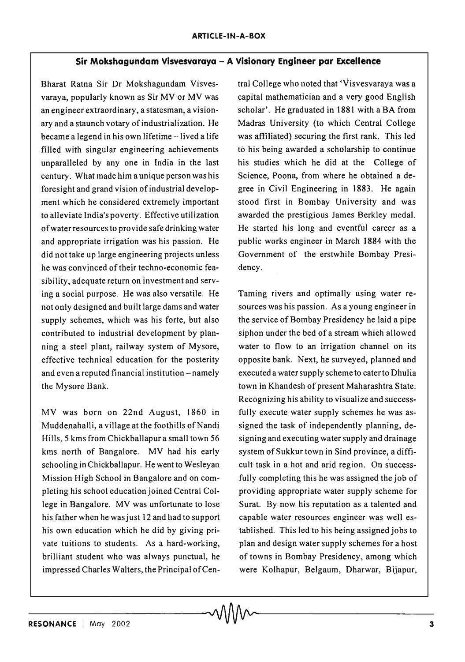## **Sir Mokshagundam Visvesvaraya - A Visionary Engineer par Excellence**

Bharat Ratna Sir Dr Mokshagundam Visvesvaraya, popularly known as Sir MV or MV was an engineer extraordinary, a statesman, a visionary and a staunch votary of industrialization, He became a legend in his own lifetime -lived a life filled with singular engineering achievements unparalleled by anyone in India in the last century. What made him a unique person was his foresight and grand vision of industrial development which he considered extremely important to alleviate India's poverty. Effective utilization of water resources to provide safe drinking water and appropriate irrigation was his passion. He did nottake up large engineering projects unless he was convinced of their techno-economic feasibility, adequate return on investment and serving a social purpose. He was also versatile. He not only designed and built large dams and water supply schemes, which was his forte, but also contributed to industrial development by planning a steel plant, railway system of Mysore, effective technical education for the posterity and even a reputed financial institution – namely the Mysore Bank.

MV was born on 22nd August, 1860 in Muddenahalli, a village at the foothills of Nandi Hills, 5 kms from Chickballapur a small town 56 kms north of Bangalore. MV had his early schooling in Chickballapur. He went to Wesleyan Mission High School in Bangalore and on completing his school education joined Central College in Bangalore. MV was unfortunate to lose his father when he was just 12 and had to support his own education which he did by giving private tuitions to students. As a hard-working, brilliant student who was always punctual, he impressed Charles Walters, the Principal of Central College who noted that 'Visvesvaraya was a capital mathematician and a very good English scholar'. He graduated in 1881 with a BA from Madras University (to which Central College was affiliated) securing the first rank. This led to his being awarded a scholarship to continue his studies which he did at the College of Science, Poona, from where he obtained a degree in Civil Engineering in 1883. He again stood first in Bombay University and was awarded the prestigious lames Berkley medal. He started his long and eventful career as a public works engineer in March 1884 with the Government of the erstwhile Bombay Presidency.

Taming rivers and optimally using water resources was his passion. As a young engineer in the service of Bombay Presidency he laid a pipe siphon under the bed of a stream which allowed water to flow to an irrigation channel on its opposite bank. Next, he surveyed, planned and executed a water supply scheme to cater to Dhulia town in Khandesh of present Maharashtra State. Recognizing his ability to visualize and successfully execute water supply schemes he was assigned the task of independently planning, designing and executing water supply and drainage system of Sukkur town in Sind province, a difficult task in a hot and arid region. On successfully completing this he was assigned the job of providing appropriate water supply scheme for Surat. By now his reputation as a talented and capable water resources engineer was well established. This led to his being assigned jobs to plan and design water supply schemes for a host of towns in Bombay Presidency, among which were Kolhapur, Belgaum, Dharwar, Bijapur,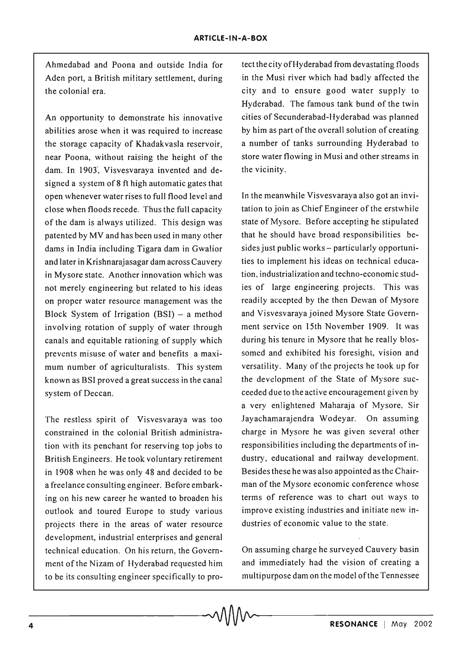Ahmedabad and Poona and outside India for Aden port, a British military settlement, during the colonial era.

An opportunity to demonstrate his innovative abilities arose when it was required to increase the storage capacity of Khadakvasla reservoir, near Poona, without raising the height of the dam. In 1903, Visvesvaraya invented and designed a system of 8 ft high automatic gates that open whenever water rises to full flood level and close when floods recede. Thus the full capacity of the dam is always utilized. This design was patented by MV and has been used in many other dams in India including Tigara dam in Gwalior and later in Krishnarajasagar dam across Cauvery in Mysore state. Another innovation which was not merely engineering but related to his ideas on proper water resource management was the Block System of Irrigation  $(BSI)$  – a method involving rotation of supply of water through canals and equitable rationing of supply which prevents misuse of water and benefits a maximum number of agriculturalists. This system known as BSI proved a great success in the canal system of Deccan.

The restless spirit of Visvesvaraya was too constrained in the colonial British administration with its penchant for reserving top jobs to British Engineers. He took voluntary retirement in 1908 when he was only 48 and decided to be a freelance consulting engineer. Before embarking on his new career he wanted to broaden his outlook and toured Europe to study various projects there in the areas of water resource development, industrial enterprises and general technical education. On his return, the Government of the Nizam of Hyderabad requested him to be its consulting engineer specifically to proteet the city ofHyderabad from devastating floods in the Musi river which had badly affected the city and to ensure good water supply to Hyderabad. The famous tank bund of the twin cities of Secunderabad-Hyderabad was planned by him as part of the overall solution of creating a number of tanks surrounding Hyderabad to store water flowing in Musi and other streams in the vicinity.

In the meanwhile Visvesvaraya also got an invitation to join as Chief Engineer of the erstwhile state of Mysore. Before accepting he stipulated that he should have broad responsibilities besides just public works - particularly opportunities to implement his ideas on technical education, industrialization and techno-economic studies of large engineering projects. This was readily accepted by the then Dewan of Mysore and Visvesvaraya joined Mysore State Government service on 15th November 1909. It was during his tenure in Mysore that he really blossomed and exhibited his foresight, vision and versatility. Many of the projects he took up for the development of the State of Mysore succeeded due to the active encouragement given by a very enlightened Maharaja of Mysore, Sir Jayachamarajendra Wodeyar. On assuming charge in Mysore he was given several other responsibilities including the departments of industry, educational and railway development. Besidesthese he was also appointed as the Chairman of the Mysore economic conference whose terms of reference was to chart out ways to improve existing industries and initiate new industries of economic value to the state.

On assuming charge he surveyed Cauvery basin and immediately had the vision of creating a multipurpose dam on the model of the Tennessee